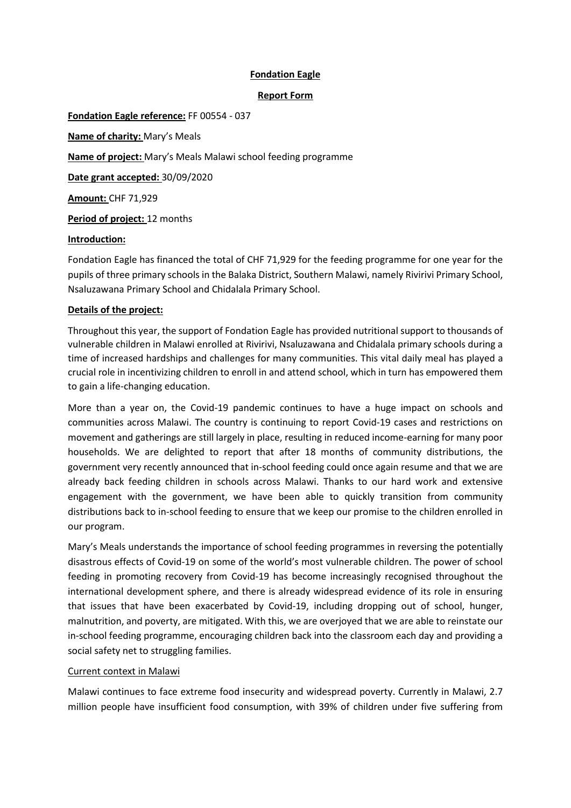# **Fondation Eagle**

## **Report Form**

**Fondation Eagle reference:** FF 00554 - 037 **Name of charity:** Mary's Meals

**Name of project:** Mary's Meals Malawi school feeding programme

**Date grant accepted:** 30/09/2020

**Amount:** CHF 71,929

**Period of project:** 12 months

## **Introduction:**

Fondation Eagle has financed the total of CHF 71,929 for the feeding programme for one year for the pupils of three primary schools in the Balaka District, Southern Malawi, namely Rivirivi Primary School, Nsaluzawana Primary School and Chidalala Primary School.

## **Details of the project:**

Throughout this year, the support of Fondation Eagle has provided nutritional support to thousands of vulnerable children in Malawi enrolled at Rivirivi, Nsaluzawana and Chidalala primary schools during a time of increased hardships and challenges for many communities. This vital daily meal has played a crucial role in incentivizing children to enroll in and attend school, which in turn has empowered them to gain a life-changing education.

More than a year on, the Covid-19 pandemic continues to have a huge impact on schools and communities across Malawi. The country is continuing to report Covid-19 cases and restrictions on movement and gatherings are still largely in place, resulting in reduced income-earning for many poor households. We are delighted to report that after 18 months of community distributions, the government very recently announced that in-school feeding could once again resume and that we are already back feeding children in schools across Malawi. Thanks to our hard work and extensive engagement with the government, we have been able to quickly transition from community distributions back to in-school feeding to ensure that we keep our promise to the children enrolled in our program.

Mary's Meals understands the importance of school feeding programmes in reversing the potentially disastrous effects of Covid-19 on some of the world's most vulnerable children. The power of school feeding in promoting recovery from Covid-19 has become increasingly recognised throughout the international development sphere, and there is already widespread evidence of its role in ensuring that issues that have been exacerbated by Covid-19, including dropping out of school, hunger, malnutrition, and poverty, are mitigated. With this, we are overjoyed that we are able to reinstate our in-school feeding programme, encouraging children back into the classroom each day and providing a social safety net to struggling families.

## Current context in Malawi

Malawi continues to face extreme food insecurity and widespread poverty. Currently in Malawi, 2.7 million people have insufficient food consumption, with 39% of children under five suffering from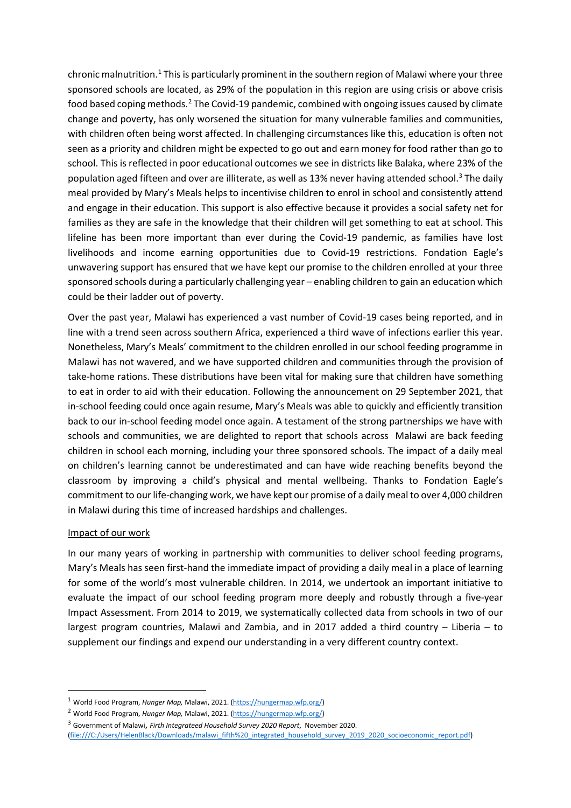chronic malnutrition.<sup>[1](#page-1-0)</sup> This is particularly prominent in the southern region of Malawi where your three sponsored schools are located, as 29% of the population in this region are using crisis or above crisis food based coping methods.[2](#page-1-1) The Covid-19 pandemic, combined with ongoing issues caused by climate change and poverty, has only worsened the situation for many vulnerable families and communities, with children often being worst affected. In challenging circumstances like this, education is often not seen as a priority and children might be expected to go out and earn money for food rather than go to school. This is reflected in poor educational outcomes we see in districts like Balaka, where 23% of the population aged fifteen and over are illiterate, as well as 13% never having attended school. [3](#page-1-2) The daily meal provided by Mary's Meals helps to incentivise children to enrol in school and consistently attend and engage in their education. This support is also effective because it provides a social safety net for families as they are safe in the knowledge that their children will get something to eat at school. This lifeline has been more important than ever during the Covid-19 pandemic, as families have lost livelihoods and income earning opportunities due to Covid-19 restrictions. Fondation Eagle's unwavering support has ensured that we have kept our promise to the children enrolled at your three sponsored schools during a particularly challenging year – enabling children to gain an education which could be their ladder out of poverty.

Over the past year, Malawi has experienced a vast number of Covid-19 cases being reported, and in line with a trend seen across southern Africa, experienced a third wave of infections earlier this year. Nonetheless, Mary's Meals' commitment to the children enrolled in our school feeding programme in Malawi has not wavered, and we have supported children and communities through the provision of take-home rations. These distributions have been vital for making sure that children have something to eat in order to aid with their education. Following the announcement on 29 September 2021, that in-school feeding could once again resume, Mary's Meals was able to quickly and efficiently transition back to our in-school feeding model once again. A testament of the strong partnerships we have with schools and communities, we are delighted to report that schools across Malawi are back feeding children in school each morning, including your three sponsored schools. The impact of a daily meal on children's learning cannot be underestimated and can have wide reaching benefits beyond the classroom by improving a child's physical and mental wellbeing. Thanks to Fondation Eagle's commitment to our life-changing work, we have kept our promise of a daily meal to over 4,000 children in Malawi during this time of increased hardships and challenges.

## Impact of our work

In our many years of working in partnership with communities to deliver school feeding programs, Mary's Meals has seen first-hand the immediate impact of providing a daily meal in a place of learning for some of the world's most vulnerable children. In 2014, we undertook an important initiative to evaluate the impact of our school feeding program more deeply and robustly through a five-year Impact Assessment. From 2014 to 2019, we systematically collected data from schools in two of our largest program countries, Malawi and Zambia, and in 2017 added a third country – Liberia – to supplement our findings and expend our understanding in a very different country context.

<span id="page-1-0"></span><sup>1</sup> World Food Program, *Hunger Map,* Malawi, 2021. [\(https://hungermap.wfp.org/\)](https://hungermap.wfp.org/)

<span id="page-1-1"></span><sup>2</sup> World Food Program, *Hunger Map,* Malawi, 2021. [\(https://hungermap.wfp.org/\)](https://hungermap.wfp.org/)

<span id="page-1-2"></span><sup>3</sup> Government of Malawi, *Firth Integrateed Household Survey 2020 Report*, November 2020.

<sup>(</sup>file:///C:/Users/HelenBlack/Downloads/malawi\_fifth%20\_integrated\_household\_survey\_2019\_2020\_socioeconomic\_report.pdf)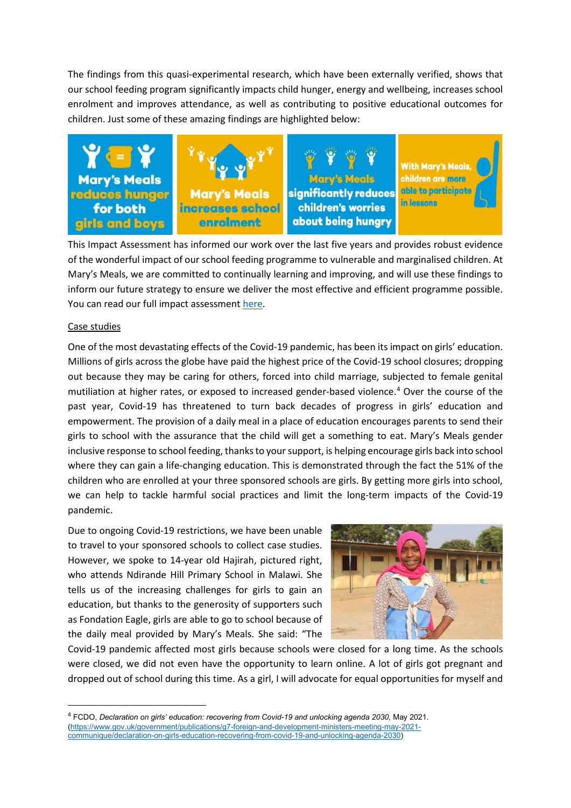The findings from this quasi-experimental research, which have been externally verified, shows that our school feeding program significantly impacts child hunger, energy and wellbeing, increases school enrolment and improves attendance, as well as contributing to positive educational outcomes for children. Just some of these amazing findings are highlighted below:



This Impact Assessment has informed our work over the last five years and provides robust evidence of the wonderful impact of our school feeding programme to vulnerable and marginalised children. At Mary's Meals, we are committed to continually learning and improving, and will use these findings to inform our future strategy to ensure we deliver the most effective and efficient programme possible. You can read our full impact assessment [here.](https://www.marysmeals.org/what-we-do/the-impact-of-our-work/)

#### Case studies

One of the most devastating effects of the Covid-19 pandemic, has been its impact on girls' education. Millions of girls across the globe have paid the highest price of the Covid-19 school closures; dropping out because they may be caring for others, forced into child marriage, subjected to female genital mutiliation at higher rates, or exposed to increased gender-based violence.<sup>[4](#page-2-0)</sup> Over the course of the past year, Covid-19 has threatened to turn back decades of progress in girls' education and empowerment. The provision of a daily meal in a place of education encourages parents to send their girls to school with the assurance that the child will get a something to eat. Mary's Meals gender inclusive response to school feeding, thanks to your support, is helping encourage girls back into school where they can gain a life-changing education. This is demonstrated through the fact the 51% of the children who are enrolled at your three sponsored schools are girls. By getting more girls into school, we can help to tackle harmful social practices and limit the long-term impacts of the Covid-19 pandemic.

Due to ongoing Covid-19 restrictions, we have been unable to travel to your sponsored schools to collect case studies. However, we spoke to 14-year old Hajirah, pictured right, who attends Ndirande Hill Primary School in Malawi. She tells us of the increasing challenges for girls to gain an education, but thanks to the generosity of supporters such as Fondation Eagle, girls are able to go to school because of the daily meal provided by Mary's Meals. She said: "The



Covid-19 pandemic affected most girls because schools were closed for a long time. As the schools were closed, we did not even have the opportunity to learn online. A lot of girls got pregnant and dropped out of school during this time. As a girl, I will advocate for equal opportunities for myself and

<span id="page-2-0"></span><sup>4</sup> FCDO, *Declaration on girls' education: recovering from Covid-19 and unlocking agenda 2030,* May 2021. [\(https://www.gov.uk/government/publications/g7-foreign-and-development-ministers-meeting-may-2021](https://www.gov.uk/government/publications/g7-foreign-and-development-ministers-meeting-may-2021-communique/declaration-on-girls-education-recovering-from-covid-19-and-unlocking-agenda-2030) [communique/declaration-on-girls-education-recovering-from-covid-19-and-unlocking-agenda-2030\)](https://www.gov.uk/government/publications/g7-foreign-and-development-ministers-meeting-may-2021-communique/declaration-on-girls-education-recovering-from-covid-19-and-unlocking-agenda-2030)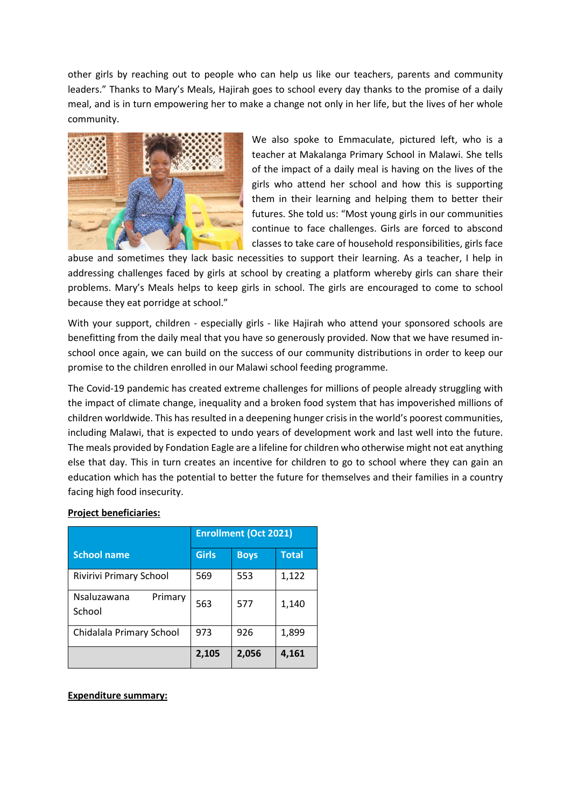other girls by reaching out to people who can help us like our teachers, parents and community leaders." Thanks to Mary's Meals, Hajirah goes to school every day thanks to the promise of a daily meal, and is in turn empowering her to make a change not only in her life, but the lives of her whole community.



We also spoke to Emmaculate, pictured left, who is a teacher at Makalanga Primary School in Malawi. She tells of the impact of a daily meal is having on the lives of the girls who attend her school and how this is supporting them in their learning and helping them to better their futures. She told us: "Most young girls in our communities continue to face challenges. Girls are forced to abscond classes to take care of household responsibilities, girls face

abuse and sometimes they lack basic necessities to support their learning. As a teacher, I help in addressing challenges faced by girls at school by creating a platform whereby girls can share their problems. Mary's Meals helps to keep girls in school. The girls are encouraged to come to school because they eat porridge at school."

With your support, children - especially girls - like Hajirah who attend your sponsored schools are benefitting from the daily meal that you have so generously provided. Now that we have resumed inschool once again, we can build on the success of our community distributions in order to keep our promise to the children enrolled in our Malawi school feeding programme.

The Covid-19 pandemic has created extreme challenges for millions of people already struggling with the impact of climate change, inequality and a broken food system that has impoverished millions of children worldwide. This has resulted in a deepening hunger crisis in the world's poorest communities, including Malawi, that is expected to undo years of development work and last well into the future. The meals provided by Fondation Eagle are a lifeline for children who otherwise might not eat anything else that day. This in turn creates an incentive for children to go to school where they can gain an education which has the potential to better the future for themselves and their families in a country facing high food insecurity.

## **Project beneficiaries:**

|                                  | <b>Enrollment (Oct 2021)</b> |             |              |
|----------------------------------|------------------------------|-------------|--------------|
| <b>School name</b>               | <b>Girls</b>                 | <b>Boys</b> | <b>Total</b> |
| Rivirivi Primary School          | 569                          | 553         | 1,122        |
| Nsaluzawana<br>Primary<br>School | 563                          | 577         | 1,140        |
| Chidalala Primary School         | 973                          | 926         | 1,899        |
|                                  | 2,105                        | 2,056       | 4,161        |

## **Expenditure summary:**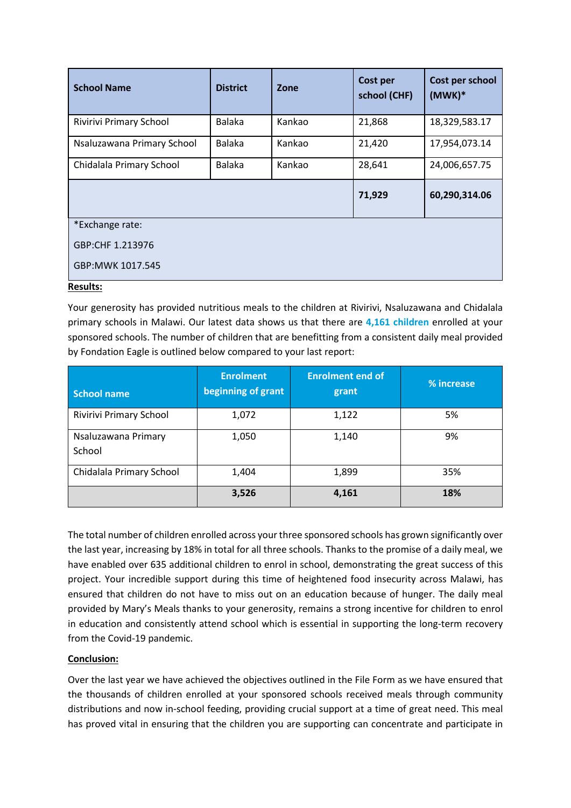| <b>School Name</b>         | <b>District</b> | Zone   | Cost per<br>school (CHF) | Cost per school<br>$(MWK)*$ |
|----------------------------|-----------------|--------|--------------------------|-----------------------------|
| Rivirivi Primary School    | <b>Balaka</b>   | Kankao | 21,868                   | 18,329,583.17               |
| Nsaluzawana Primary School | <b>Balaka</b>   | Kankao | 21,420                   | 17,954,073.14               |
| Chidalala Primary School   | <b>Balaka</b>   | Kankao | 28,641                   | 24,006,657.75               |
|                            |                 |        | 71,929                   | 60,290,314.06               |
| *Exchange rate:            |                 |        |                          |                             |
| GBP:CHF 1.213976           |                 |        |                          |                             |
| GBP:MWK 1017.545           |                 |        |                          |                             |

## **Results:**

Your generosity has provided nutritious meals to the children at Rivirivi, Nsaluzawana and Chidalala primary schools in Malawi. Our latest data shows us that there are **4,161 children** enrolled at your sponsored schools. The number of children that are benefitting from a consistent daily meal provided by Fondation Eagle is outlined below compared to your last report:

| <b>School name</b>            | <b>Enrolment</b><br>beginning of grant | <b>Enrolment end of</b><br>grant | % increase |
|-------------------------------|----------------------------------------|----------------------------------|------------|
| Rivirivi Primary School       | 1,072                                  | 1,122                            | 5%         |
| Nsaluzawana Primary<br>School | 1,050                                  | 1,140                            | 9%         |
| Chidalala Primary School      | 1,404                                  | 1,899                            | 35%        |
|                               | 3,526                                  | 4,161                            | 18%        |

The total number of children enrolled across your three sponsored schools has grown significantly over the last year, increasing by 18% in total for all three schools. Thanks to the promise of a daily meal, we have enabled over 635 additional children to enrol in school, demonstrating the great success of this project. Your incredible support during this time of heightened food insecurity across Malawi, has ensured that children do not have to miss out on an education because of hunger. The daily meal provided by Mary's Meals thanks to your generosity, remains a strong incentive for children to enrol in education and consistently attend school which is essential in supporting the long-term recovery from the Covid-19 pandemic.

## **Conclusion:**

Over the last year we have achieved the objectives outlined in the File Form as we have ensured that the thousands of children enrolled at your sponsored schools received meals through community distributions and now in-school feeding, providing crucial support at a time of great need. This meal has proved vital in ensuring that the children you are supporting can concentrate and participate in